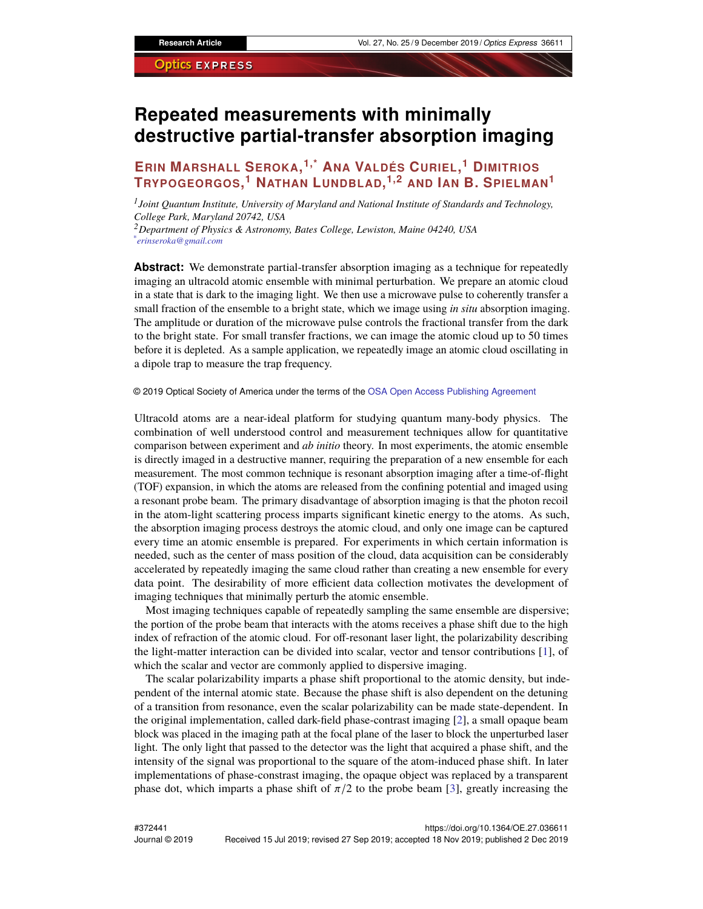# **Repeated measurements with minimally destructive partial-transfer absorption imaging**

# **ERIN MARSHALL SEROKA, 1,\* ANA VALDÉS CURIEL, <sup>1</sup> DIMITRIOS TRYPOGEORGOS, <sup>1</sup> NATHAN LUNDBLAD, 1,2 AND IAN B. SPIELMAN<sup>1</sup>**

*1 Joint Quantum Institute, University of Maryland and National Institute of Standards and Technology, College Park, Maryland 20742, USA <sup>2</sup>Department of Physics & Astronomy, Bates College, Lewiston, Maine 04240, USA \* erinseroka@gmail.com*

**Abstract:** We demonstrate partial-transfer absorption imaging as a technique for repeatedly imaging an ultracold atomic ensemble with minimal perturbation. We prepare an atomic cloud in a state that is dark to the imaging light. We then use a microwave pulse to coherently transfer a small fraction of the ensemble to a bright state, which we image using *in situ* absorption imaging. The amplitude or duration of the microwave pulse controls the fractional transfer from the dark to the bright state. For small transfer fractions, we can image the atomic cloud up to 50 times before it is depleted. As a sample application, we repeatedly image an atomic cloud oscillating in a dipole trap to measure the trap frequency.

© 2019 Optical Society of America under the terms of the [OSA Open Access Publishing Agreement](https://doi.org/10.1364/OA_License_v1)

Ultracold atoms are a near-ideal platform for studying quantum many-body physics. The combination of well understood control and measurement techniques allow for quantitative comparison between experiment and *ab initio* theory. In most experiments, the atomic ensemble is directly imaged in a destructive manner, requiring the preparation of a new ensemble for each measurement. The most common technique is resonant absorption imaging after a time-of-flight (TOF) expansion, in which the atoms are released from the confining potential and imaged using a resonant probe beam. The primary disadvantage of absorption imaging is that the photon recoil in the atom-light scattering process imparts significant kinetic energy to the atoms. As such, the absorption imaging process destroys the atomic cloud, and only one image can be captured every time an atomic ensemble is prepared. For experiments in which certain information is needed, such as the center of mass position of the cloud, data acquisition can be considerably accelerated by repeatedly imaging the same cloud rather than creating a new ensemble for every data point. The desirability of more efficient data collection motivates the development of imaging techniques that minimally perturb the atomic ensemble.

Most imaging techniques capable of repeatedly sampling the same ensemble are dispersive; the portion of the probe beam that interacts with the atoms receives a phase shift due to the high index of refraction of the atomic cloud. For off-resonant laser light, the polarizability describing the light-matter interaction can be divided into scalar, vector and tensor contributions [\[1\]](#page-12-0), of which the scalar and vector are commonly applied to dispersive imaging.

The scalar polarizability imparts a phase shift proportional to the atomic density, but independent of the internal atomic state. Because the phase shift is also dependent on the detuning of a transition from resonance, even the scalar polarizability can be made state-dependent. In the original implementation, called dark-field phase-contrast imaging [\[2\]](#page-12-1), a small opaque beam block was placed in the imaging path at the focal plane of the laser to block the unperturbed laser light. The only light that passed to the detector was the light that acquired a phase shift, and the intensity of the signal was proportional to the square of the atom-induced phase shift. In later implementations of phase-constrast imaging, the opaque object was replaced by a transparent phase dot, which imparts a phase shift of  $\pi/2$  to the probe beam [\[3\]](#page-12-2), greatly increasing the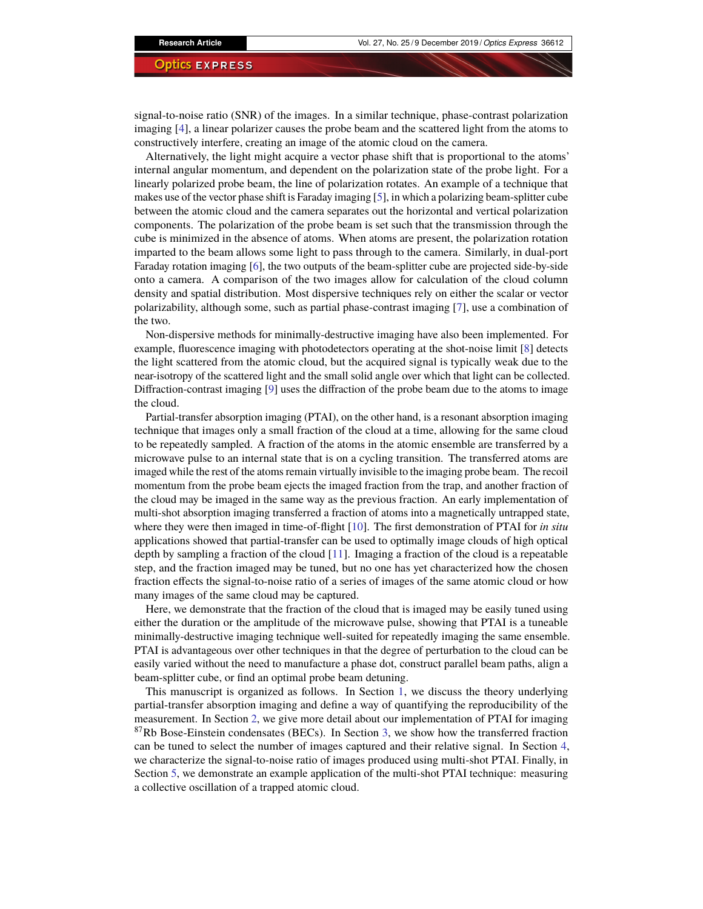signal-to-noise ratio (SNR) of the images. In a similar technique, phase-contrast polarization imaging [\[4\]](#page-12-3), a linear polarizer causes the probe beam and the scattered light from the atoms to constructively interfere, creating an image of the atomic cloud on the camera.

Alternatively, the light might acquire a vector phase shift that is proportional to the atoms' internal angular momentum, and dependent on the polarization state of the probe light. For a linearly polarized probe beam, the line of polarization rotates. An example of a technique that makes use of the vector phase shift is Faraday imaging [\[5\]](#page-12-4), in which a polarizing beam-splitter cube between the atomic cloud and the camera separates out the horizontal and vertical polarization components. The polarization of the probe beam is set such that the transmission through the cube is minimized in the absence of atoms. When atoms are present, the polarization rotation imparted to the beam allows some light to pass through to the camera. Similarly, in dual-port Faraday rotation imaging [\[6\]](#page-12-5), the two outputs of the beam-splitter cube are projected side-by-side onto a camera. A comparison of the two images allow for calculation of the cloud column density and spatial distribution. Most dispersive techniques rely on either the scalar or vector polarizability, although some, such as partial phase-contrast imaging [\[7\]](#page-12-6), use a combination of the two.

Non-dispersive methods for minimally-destructive imaging have also been implemented. For example, fluorescence imaging with photodetectors operating at the shot-noise limit [\[8\]](#page-12-7) detects the light scattered from the atomic cloud, but the acquired signal is typically weak due to the near-isotropy of the scattered light and the small solid angle over which that light can be collected. Diffraction-contrast imaging [\[9\]](#page-12-8) uses the diffraction of the probe beam due to the atoms to image the cloud.

Partial-transfer absorption imaging (PTAI), on the other hand, is a resonant absorption imaging technique that images only a small fraction of the cloud at a time, allowing for the same cloud to be repeatedly sampled. A fraction of the atoms in the atomic ensemble are transferred by a microwave pulse to an internal state that is on a cycling transition. The transferred atoms are imaged while the rest of the atoms remain virtually invisible to the imaging probe beam. The recoil momentum from the probe beam ejects the imaged fraction from the trap, and another fraction of the cloud may be imaged in the same way as the previous fraction. An early implementation of multi-shot absorption imaging transferred a fraction of atoms into a magnetically untrapped state, where they were then imaged in time-of-flight [\[10\]](#page-12-9). The first demonstration of PTAI for *in situ* applications showed that partial-transfer can be used to optimally image clouds of high optical depth by sampling a fraction of the cloud [\[11\]](#page-13-0). Imaging a fraction of the cloud is a repeatable step, and the fraction imaged may be tuned, but no one has yet characterized how the chosen fraction effects the signal-to-noise ratio of a series of images of the same atomic cloud or how many images of the same cloud may be captured.

Here, we demonstrate that the fraction of the cloud that is imaged may be easily tuned using either the duration or the amplitude of the microwave pulse, showing that PTAI is a tuneable minimally-destructive imaging technique well-suited for repeatedly imaging the same ensemble. PTAI is advantageous over other techniques in that the degree of perturbation to the cloud can be easily varied without the need to manufacture a phase dot, construct parallel beam paths, align a beam-splitter cube, or find an optimal probe beam detuning.

This manuscript is organized as follows. In Section [1,](#page-2-0) we discuss the theory underlying partial-transfer absorption imaging and define a way of quantifying the reproducibility of the measurement. In Section [2,](#page-3-0) we give more detail about our implementation of PTAI for imaging  $87Rb$  Bose-Einstein condensates (BECs). In Section [3,](#page-6-0) we show how the transferred fraction can be tuned to select the number of images captured and their relative signal. In Section [4,](#page-9-0) we characterize the signal-to-noise ratio of images produced using multi-shot PTAI. Finally, in Section [5,](#page-10-0) we demonstrate an example application of the multi-shot PTAI technique: measuring a collective oscillation of a trapped atomic cloud.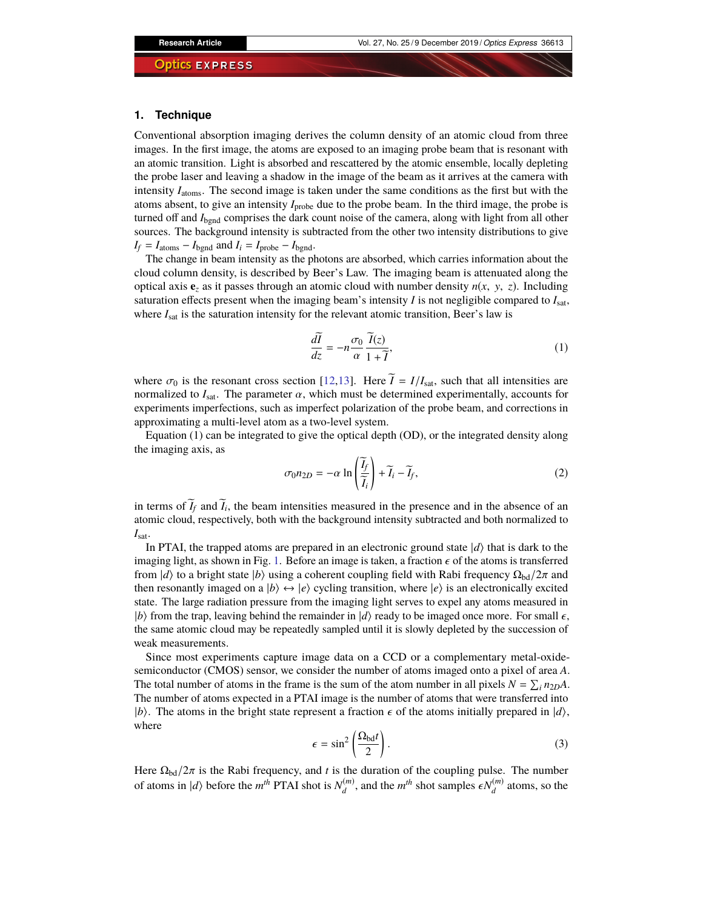#### <span id="page-2-0"></span>**1. Technique**

Conventional absorption imaging derives the column density of an atomic cloud from three images. In the first image, the atoms are exposed to an imaging probe beam that is resonant with an atomic transition. Light is absorbed and rescattered by the atomic ensemble, locally depleting the probe laser and leaving a shadow in the image of the beam as it arrives at the camera with intensity *I*atoms. The second image is taken under the same conditions as the first but with the atoms absent, to give an intensity *I*probe due to the probe beam. In the third image, the probe is turned off and *I*<sub>bgnd</sub> comprises the dark count noise of the camera, along with light from all other sources. The background intensity is subtracted from the other two intensity distributions to give  $I_f = I_{atoms} - I_{bgnd}$  and  $I_i = I_{probe} - I_{bgnd}$ .

The change in beam intensity as the photons are absorbed, which carries information about the cloud column density, is described by Beer's Law. The imaging beam is attenuated along the optical axis  $\mathbf{e}_z$  as it passes through an atomic cloud with number density  $n(x, y, z)$ . Including saturation effects present when the imaging beam's intensity *I* is not negligible compared to *I*sat, where  $I_{\text{sat}}$  is the saturation intensity for the relevant atomic transition, Beer's law is

$$
\frac{d\tilde{I}}{dz} = -n \frac{\sigma_0}{\alpha} \frac{\tilde{I}(z)}{1 + \tilde{I}},\tag{1}
$$

where  $\sigma_0$  is the resonant cross section [\[12,](#page-13-1)[13\]](#page-13-2). Here  $\tilde{I} = I/I_{\text{sat}}$ , such that all intensities are normalized to  $I_{\text{sat}}$ . The parameter  $\alpha$ , which must be determined experimentally, accounts for experiments imperfections, such as imperfect polarization of the probe beam, and corrections in approximating a multi-level atom as a two-level system.

Equation (1) can be integrated to give the optical depth (OD), or the integrated density along the imaging axis, as

$$
\sigma_0 n_{2D} = -\alpha \ln \left( \frac{\widetilde{I}_f}{\widetilde{I}_i} \right) + \widetilde{I}_i - \widetilde{I}_f,\tag{2}
$$

in terms of  $I_f$  and  $I_i$ , the beam intensities measured in the presence and in the absence of an atomic cloud, respectively, both with the background intensity subtracted and both normalized to *I*sat.

In PTAI, the trapped atoms are prepared in an electronic ground state  $|d\rangle$  that is dark to the imaging light, as shown in Fig. [1.](#page-3-1) Before an image is taken, a fraction  $\epsilon$  of the atoms is transferred from  $|d\rangle$  to a bright state  $|b\rangle$  using a coherent coupling field with Rabi frequency  $\Omega_{\text{bd}}/2\pi$  and then resonantly imaged on a  $|b\rangle \leftrightarrow |e\rangle$  cycling transition, where  $|e\rangle$  is an electronically excited state. The large radiation pressure from the imaging light serves to expel any atoms measured in |b\} from the trap, leaving behind the remainder in  $|d\rangle$  ready to be imaged once more. For small  $\epsilon$ , the same atomic cloud may be repeatedly sampled until it is slowly depleted by the succession of weak measurements.

Since most experiments capture image data on a CCD or a complementary metal-oxidesemiconductor (CMOS) sensor, we consider the number of atoms imaged onto a pixel of area *A*. The total number of atoms in the frame is the sum of the atom number in all pixels  $N = \sum_i n_{2D}A$ . The number of atoms expected in a PTAI image is the number of atoms that were transferred into  $|b\rangle$ . The atoms in the bright state represent a fraction  $\epsilon$  of the atoms initially prepared in  $|d\rangle$ , where

$$
\epsilon = \sin^2 \left( \frac{\Omega_{\text{bd}} t}{2} \right). \tag{3}
$$

Here  $\Omega_{\text{bd}}/2\pi$  is the Rabi frequency, and *t* is the duration of the coupling pulse. The number of atoms in  $|d\rangle$  before the *m*<sup>th</sup> PTAI shot is  $N_d^{(m)}$  $\epsilon^{(m)}$ , and the *m*<sup>th</sup> shot samples  $\epsilon N_d^{(m)}$  $\binom{m}{d}$  atoms, so the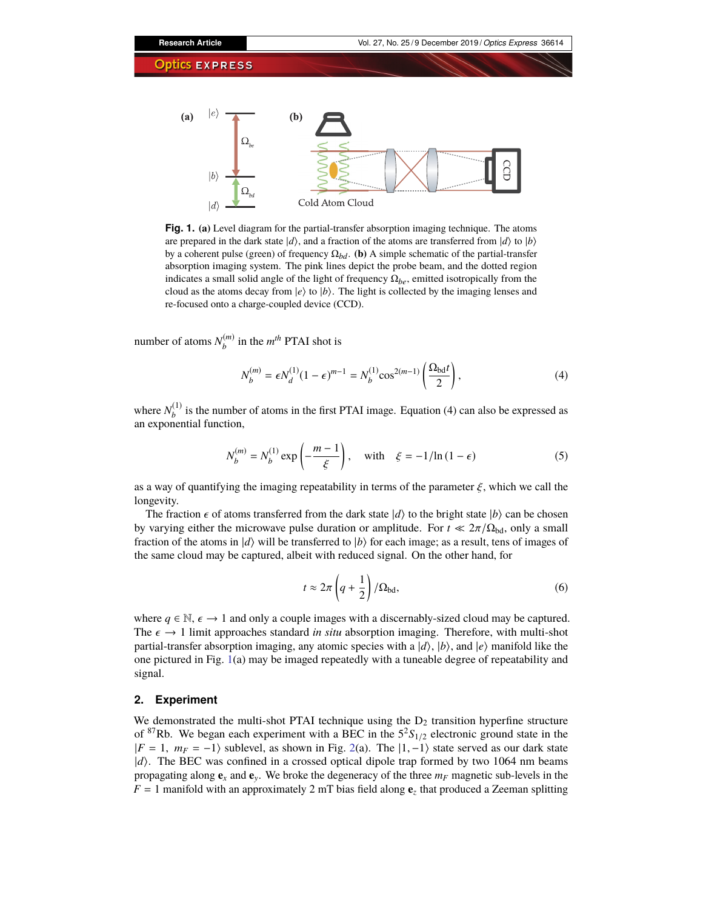

<span id="page-3-1"></span>**Fig. 1. (a)** Level diagram for the partial-transfer absorption imaging technique. The atoms are prepared in the dark state  $|d\rangle$ , and a fraction of the atoms are transferred from  $|d\rangle$  to  $|b\rangle$ by a coherent pulse (green) of frequency  $\Omega_{bd}$ . **(b)** A simple schematic of the partial-transfer absorption imaging system. The pink lines depict the probe beam, and the dotted region indicates a small solid angle of the light of frequency  $\Omega_{be}$ , emitted isotropically from the cloud as the atoms decay from  $|e\rangle$  to  $|b\rangle$ . The light is collected by the imaging lenses and re-focused onto a charge-coupled device (CCD).

number of atoms  $N_h^{(m)}$  $h_b^{(m)}$  in the  $m^{th}$  PTAI shot is

$$
N_b^{(m)} = \epsilon N_d^{(1)} (1 - \epsilon)^{m-1} = N_b^{(1)} \cos^{2(m-1)} \left( \frac{\Omega_{\text{bd}} t}{2} \right),\tag{4}
$$

where  $N_h^{(1)}$  $b<sub>b</sub>$  is the number of atoms in the first PTAI image. Equation (4) can also be expressed as an exponential function,

$$
N_b^{(m)} = N_b^{(1)} \exp\left(-\frac{m-1}{\xi}\right), \quad \text{with} \quad \xi = -1/\ln(1-\epsilon) \tag{5}
$$

as a way of quantifying the imaging repeatability in terms of the parameter  $\xi$ , which we call the longevity.

The fraction  $\epsilon$  of atoms transferred from the dark state  $|d\rangle$  to the bright state  $|b\rangle$  can be chosen by varying either the microwave pulse duration or amplitude. For  $t \ll 2\pi/\Omega_{\text{bd}}$ , only a small fraction of the atoms in  $|d\rangle$  will be transferred to  $|b\rangle$  for each image; as a result, tens of images of the same cloud may be captured, albeit with reduced signal. On the other hand, for

$$
t \approx 2\pi \left( q + \frac{1}{2} \right) / \Omega_{\text{bd}},\tag{6}
$$

where  $q \in \mathbb{N}$ ,  $\epsilon \to 1$  and only a couple images with a discernably-sized cloud may be captured. The  $\epsilon \to 1$  limit approaches standard *in situ* absorption imaging. Therefore, with multi-shot partial-transfer absorption imaging, any atomic species with a  $|d\rangle$ ,  $|b\rangle$ , and  $|e\rangle$  manifold like the one pictured in Fig. [1\(](#page-3-1)a) may be imaged repeatedly with a tuneable degree of repeatability and signal.

### <span id="page-3-0"></span>**2. Experiment**

We demonstrated the multi-shot PTAI technique using the  $D<sub>2</sub>$  transition hyperfine structure of <sup>87</sup>Rb. We began each experiment with a BEC in the  $5^{2}S_{1/2}$  electronic ground state in the  $|F = 1, m_F = -1$  sublevel, as shown in Fig. [2\(](#page-4-0)a). The  $|1, -1\rangle$  state served as our dark state |*d*i. The BEC was confined in a crossed optical dipole trap formed by two 1064 nm beams propagating along  $\mathbf{e}_x$  and  $\mathbf{e}_y$ . We broke the degeneracy of the three  $m_F$  magnetic sub-levels in the  $F = 1$  manifold with an approximately 2 mT bias field along  $\mathbf{e}_z$  that produced a Zeeman splitting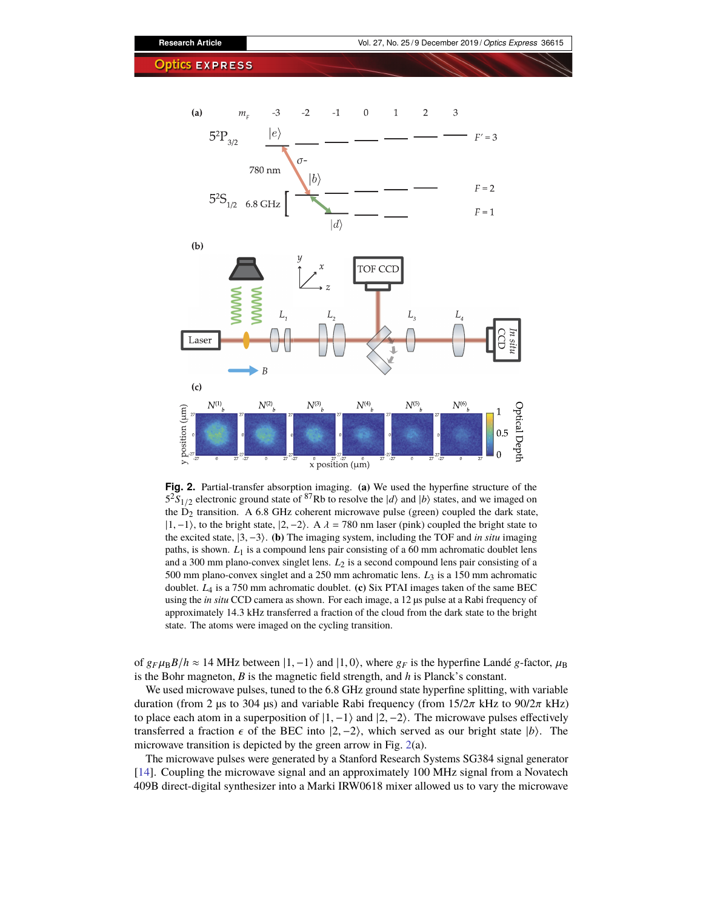

<span id="page-4-0"></span>**Fig. 2.** Partial-transfer absorption imaging. **(a)** We used the hyperfine structure of the  $5^{2}S_{1/2}$  electronic ground state of <sup>87</sup>Rb to resolve the  $|d\rangle$  and  $|b\rangle$  states, and we imaged on the  $D_2$  transition. A 6.8 GHz coherent microwave pulse (green) coupled the dark state,  $|1, -1\rangle$ , to the bright state,  $|2, -2\rangle$ . A  $\lambda = 780$  nm laser (pink) coupled the bright state to the excited state,  $\{3, -3\}$ . **(b)** The imaging system, including the TOF and *in situ* imaging paths, is shown. *L*1 is a compound lens pair consisting of a 60 mm achromatic doublet lens and a 300 mm plano-convex singlet lens. *L*2 is a second compound lens pair consisting of a 500 mm plano-convex singlet and a 250 mm achromatic lens. *L*<sup>3</sup> is a 150 mm achromatic doublet. *L*<sup>4</sup> is a 750 mm achromatic doublet. **(c)** Six PTAI images taken of the same BEC using the *in situ* CCD camera as shown. For each image, a 12 µs pulse at a Rabi frequency of approximately 14.3 kHz transferred a fraction of the cloud from the dark state to the bright state. The atoms were imaged on the cycling transition.

 $x$  position ( $\mu$ m)

of  $g_F \mu_B B/h \approx 14$  MHz between  $|1, -1\rangle$  and  $|1, 0\rangle$ , where  $g_F$  is the hyperfine Landé *g*-factor,  $\mu_B$ is the Bohr magneton, *B* is the magnetic field strength, and *h* is Planck's constant.

We used microwave pulses, tuned to the 6.8 GHz ground state hyperfine splitting, with variable duration (from 2 μs to 304 μs) and variable Rabi frequency (from  $15/2π$  kHz to  $90/2π$  kHz) to place each atom in a superposition of  $|1, -1\rangle$  and  $|2, -2\rangle$ . The microwave pulses effectively transferred a fraction  $\epsilon$  of the BEC into  $|2, -2\rangle$ , which served as our bright state  $|b\rangle$ . The microwave transition is depicted by the green arrow in Fig. [2\(](#page-4-0)a).

The microwave pulses were generated by a Stanford Research Systems SG384 signal generator [\[14\]](#page-13-3). Coupling the microwave signal and an approximately 100 MHz signal from a Novatech 409B direct-digital synthesizer into a Marki IRW0618 mixer allowed us to vary the microwave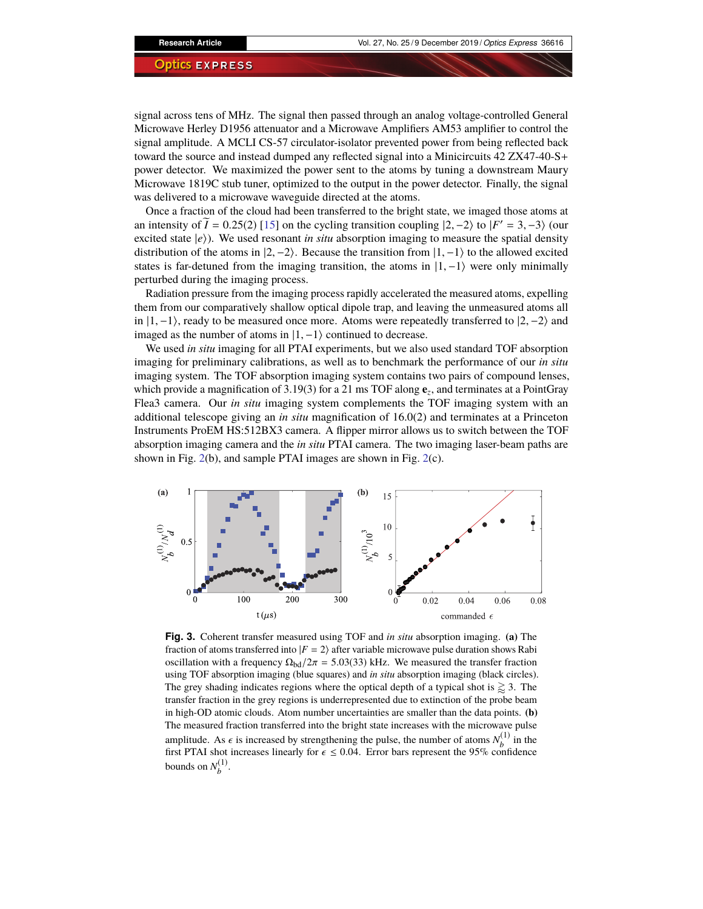signal across tens of MHz. The signal then passed through an analog voltage-controlled General Microwave Herley D1956 attenuator and a Microwave Amplifiers AM53 amplifier to control the signal amplitude. A MCLI CS-57 circulator-isolator prevented power from being reflected back toward the source and instead dumped any reflected signal into a Minicircuits 42 ZX47-40-S+ power detector. We maximized the power sent to the atoms by tuning a downstream Maury Microwave 1819C stub tuner, optimized to the output in the power detector. Finally, the signal was delivered to a microwave waveguide directed at the atoms.

Once a fraction of the cloud had been transferred to the bright state, we imaged those atoms at an intensity of  $\widetilde{I} = 0.25(2)$  [\[15\]](#page-13-4) on the cycling transition coupling  $|2, -2\rangle$  to  $|F' = 3, -3\rangle$  (our excited state  $|e\rangle$ ). We used resonant *in situ* absorption imaging to measure the spatial density distribution of the atoms in  $|2, -2\rangle$ . Because the transition from  $|1, -1\rangle$  to the allowed excited states is far-detuned from the imaging transition, the atoms in  $|1, -1\rangle$  were only minimally perturbed during the imaging process.

Radiation pressure from the imaging process rapidly accelerated the measured atoms, expelling them from our comparatively shallow optical dipole trap, and leaving the unmeasured atoms all in  $|1, -1\rangle$ , ready to be measured once more. Atoms were repeatedly transferred to  $|2, -2\rangle$  and imaged as the number of atoms in  $|1, -1\rangle$  continued to decrease.

We used *in situ* imaging for all PTAI experiments, but we also used standard TOF absorption imaging for preliminary calibrations, as well as to benchmark the performance of our *in situ* imaging system. The TOF absorption imaging system contains two pairs of compound lenses, which provide a magnification of 3.19(3) for a 21 ms TOF along **e***<sup>z</sup>* , and terminates at a PointGray Flea3 camera. Our *in situ* imaging system complements the TOF imaging system with an additional telescope giving an *in situ* magnification of 16.0(2) and terminates at a Princeton Instruments ProEM HS:512BX3 camera. A flipper mirror allows us to switch between the TOF absorption imaging camera and the *in situ* PTAI camera. The two imaging laser-beam paths are shown in Fig. [2\(](#page-4-0)b), and sample PTAI images are shown in Fig. [2\(](#page-4-0)c).



<span id="page-5-0"></span>**Fig. 3.** Coherent transfer measured using TOF and *in situ* absorption imaging. **(a)** The fraction of atoms transferred into  $|F = 2\rangle$  after variable microwave pulse duration shows Rabi oscillation with a frequency  $\Omega_{\text{bd}}/2\pi = 5.03(33)$  kHz. We measured the transfer fraction using TOF absorption imaging (blue squares) and *in situ* absorption imaging (black circles). The grey shading indicates regions where the optical depth of a typical shot is  $\gtrsim$  3. The transfer fraction in the grey regions is underrepresented due to extinction of the probe beam in high-OD atomic clouds. Atom number uncertainties are smaller than the data points. **(b)** The measured fraction transferred into the bright state increases with the microwave pulse amplitude. As  $\epsilon$  is increased by strengthening the pulse, the number of atoms  $N_b^{(1)}$ <br>first PTAI shot increases linearly for  $\epsilon < 0.04$ . Firror hars represent the 95% conf  $\int_b^{(1)}$  in the first PTAI shot increases linearly for  $\epsilon \le 0.04$ . Error bars represent the 95% confidence bounds on  $N_h^{(1)}$  $b^{(1)}$ .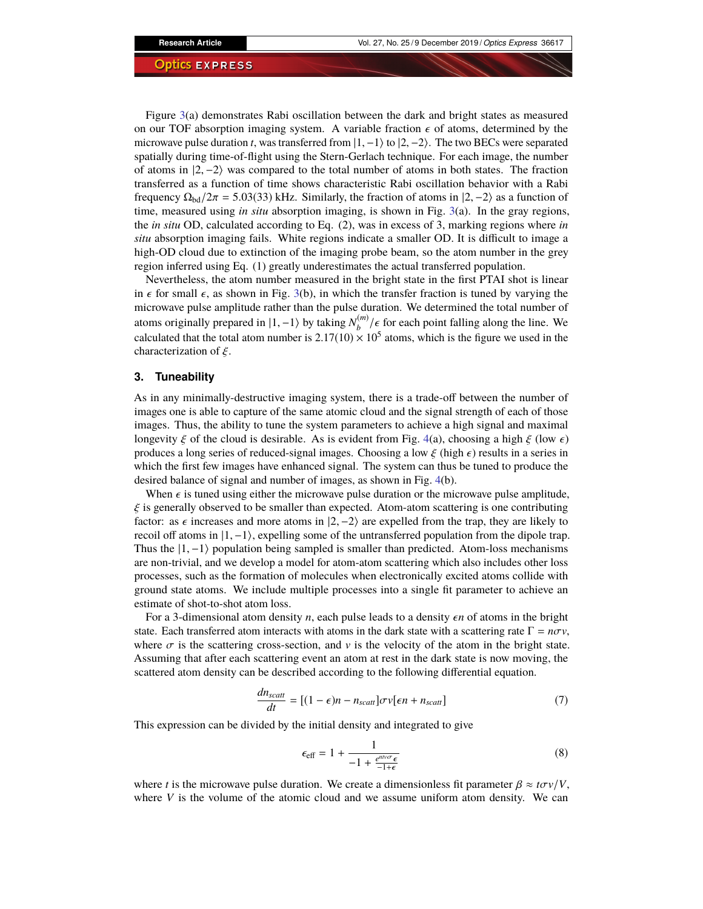Figure [3\(](#page-5-0)a) demonstrates Rabi oscillation between the dark and bright states as measured on our TOF absorption imaging system. A variable fraction  $\epsilon$  of atoms, determined by the microwave pulse duration *t*, was transferred from  $|1, -1\rangle$  to  $|2, -2\rangle$ . The two BECs were separated spatially during time-of-flight using the Stern-Gerlach technique. For each image, the number of atoms in  $|2, -2\rangle$  was compared to the total number of atoms in both states. The fraction transferred as a function of time shows characteristic Rabi oscillation behavior with a Rabi frequency  $\Omega_{\text{bd}}/2\pi = 5.03(33)$  kHz. Similarly, the fraction of atoms in  $|2, -2\rangle$  as a function of time, measured using *in situ* absorption imaging, is shown in Fig. [3\(](#page-5-0)a). In the gray regions, the *in situ* OD, calculated according to Eq. (2), was in excess of 3, marking regions where *in situ* absorption imaging fails. White regions indicate a smaller OD. It is difficult to image a high-OD cloud due to extinction of the imaging probe beam, so the atom number in the grey region inferred using Eq. (1) greatly underestimates the actual transferred population.

Nevertheless, the atom number measured in the bright state in the first PTAI shot is linear in  $\epsilon$  for small  $\epsilon$ , as shown in Fig. [3\(](#page-5-0)b), in which the transfer fraction is tuned by varying the microwave pulse amplitude rather than the pulse duration. We determined the total number of atoms originally prepared in  $|1, -1\rangle$  by taking  $N_h^{(m)}$  $b^{\binom{m}{k}}$  / $\epsilon$  for each point falling along the line. We calculated that the total atom number is  $2.17(10) \times 10^5$  atoms, which is the figure we used in the characterization of  $\xi$ .

#### <span id="page-6-0"></span>**3. Tuneability**

As in any minimally-destructive imaging system, there is a trade-off between the number of images one is able to capture of the same atomic cloud and the signal strength of each of those images. Thus, the ability to tune the system parameters to achieve a high signal and maximal longevity  $\xi$  of the cloud is desirable. As is evident from Fig. [4\(](#page-7-0)a), choosing a high  $\xi$  (low  $\epsilon$ ) produces a long series of reduced-signal images. Choosing a low  $\xi$  (high  $\epsilon$ ) results in a series in which the first few images have enhanced signal. The system can thus be tuned to produce the desired balance of signal and number of images, as shown in Fig. [4\(](#page-7-0)b).

When  $\epsilon$  is tuned using either the microwave pulse duration or the microwave pulse amplitude,  $\xi$  is generally observed to be smaller than expected. Atom-atom scattering is one contributing factor: as  $\epsilon$  increases and more atoms in  $|2, -2\rangle$  are expelled from the trap, they are likely to recoil off atoms in  $|1, -1\rangle$ , expelling some of the untransferred population from the dipole trap. Thus the  $|1,-1\rangle$  population being sampled is smaller than predicted. Atom-loss mechanisms are non-trivial, and we develop a model for atom-atom scattering which also includes other loss processes, such as the formation of molecules when electronically excited atoms collide with ground state atoms. We include multiple processes into a single fit parameter to achieve an estimate of shot-to-shot atom loss.

For a 3-dimensional atom density  $n$ , each pulse leads to a density  $\epsilon n$  of atoms in the bright state. Each transferred atom interacts with atoms in the dark state with a scattering rate  $\Gamma = n\sigma v$ , where  $\sigma$  is the scattering cross-section, and  $\nu$  is the velocity of the atom in the bright state. Assuming that after each scattering event an atom at rest in the dark state is now moving, the scattered atom density can be described according to the following differential equation.

$$
\frac{dn_{scatt}}{dt} = [(1 - \epsilon)n - n_{scatt}] \sigma v[\epsilon n + n_{scatt}] \tag{7}
$$

This expression can be divided by the initial density and integrated to give

$$
\epsilon_{\text{eff}} = 1 + \frac{1}{-1 + \frac{e^{ntv\sigma}\epsilon}{-1+\epsilon}}
$$
(8)

where *t* is the microwave pulse duration. We create a dimensionless fit parameter  $\beta \approx t \sigma v/V$ , where *V* is the volume of the atomic cloud and we assume uniform atom density. We can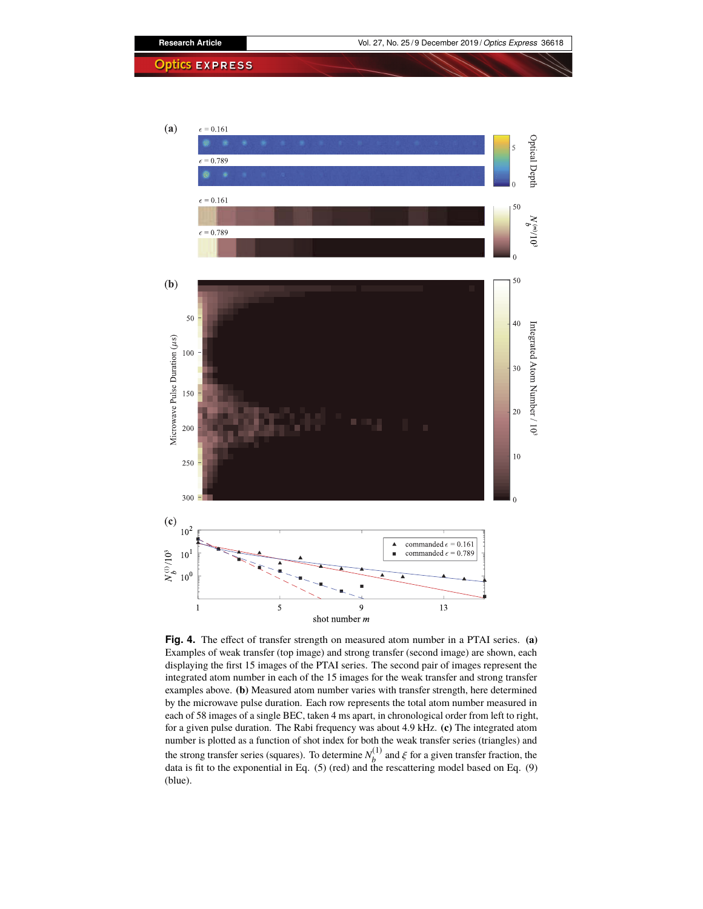



<span id="page-7-0"></span>**Fig. 4.** The effect of transfer strength on measured atom number in a PTAI series. **(a)** Examples of weak transfer (top image) and strong transfer (second image) are shown, each displaying the first 15 images of the PTAI series. The second pair of images represent the integrated atom number in each of the 15 images for the weak transfer and strong transfer examples above. **(b)** Measured atom number varies with transfer strength, here determined by the microwave pulse duration. Each row represents the total atom number measured in each of 58 images of a single BEC, taken 4 ms apart, in chronological order from left to right, for a given pulse duration. The Rabi frequency was about 4.9 kHz. **(c)** The integrated atom number is plotted as a function of shot index for both the weak transfer series (triangles) and the strong transfer series (squares). To determine  $N<sub>h</sub><sup>(1)</sup>$ the strong transfer series (squares). To determine  $N_b^{(1)}$  and  $\xi$  for a given transfer fraction, the data is fit to the exponential in Eq. (5) (red) and the rescattering model based on Eq. (9) (blue).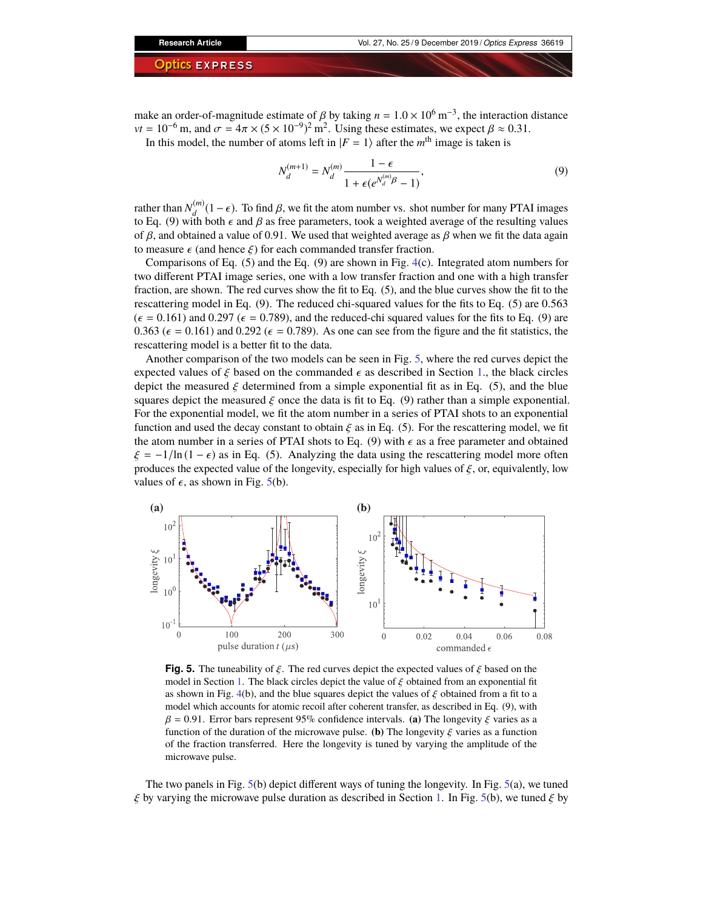make an order-of-magnitude estimate of  $\beta$  by taking  $n = 1.0 \times 10^6$  m<sup>-3</sup>, the interaction distance<br> $vt = 10^{-6}$  m, and  $\sigma = 4\pi \times (5 \times 10^{-9})^2$  m<sup>2</sup>. Heing these estimates, we expect  $\beta \approx 0.31$ *vt* = 10<sup>-6</sup> m, and  $\sigma = 4\pi \times (5 \times 10^{-9})^2$  m<sup>2</sup>. Using these estimates, we expect  $\beta \approx 0.31$ .<br>In this model, the number of atoms left in  $|E - 1\rangle$  after the *m*<sup>th</sup> image is taken is

In this model, the number of atoms left in  $|F = 1\rangle$  after the *m*<sup>th</sup> image is taken is

$$
N_d^{(m+1)} = N_d^{(m)} \frac{1 - \epsilon}{1 + \epsilon(e^{N_d^{(m)}\beta} - 1)},
$$
\n(9)

rather than  $N_A^{(m)}$  $d_d^{(m)}(1-\epsilon)$ . To find  $\beta$ , we fit the atom number vs. shot number for many PTAI images it has both  $\epsilon$  and  $\beta$  as free parameters took a weighted average of the resulting values to Eq. (9) with both  $\epsilon$  and  $\beta$  as free parameters, took a weighted average of the resulting values of  $\beta$ , and obtained a value of 0.91. We used that weighted average as  $\beta$  when we fit the data again to measure  $\epsilon$  (and hence  $\xi$ ) for each commanded transfer fraction.

Comparisons of Eq.  $(5)$  and the Eq.  $(9)$  are shown in Fig. [4\(](#page-7-0)c). Integrated atom numbers for two different PTAI image series, one with a low transfer fraction and one with a high transfer fraction, are shown. The red curves show the fit to Eq. (5), and the blue curves show the fit to the rescattering model in Eq. (9). The reduced chi-squared values for the fits to Eq. (5) are 0.563  $(\epsilon = 0.161)$  and 0.297 ( $\epsilon = 0.789$ ), and the reduced-chi squared values for the fits to Eq. (9) are 0.363 ( $\epsilon$  = 0.161) and 0.292 ( $\epsilon$  = 0.789). As one can see from the figure and the fit statistics, the rescattering model is a better fit to the data.

Another comparison of the two models can be seen in Fig. [5,](#page-8-0) where the red curves depict the expected values of  $\xi$  based on the commanded  $\epsilon$  as described in Section [1.](#page-2-0), the black circles depict the measured  $\xi$  determined from a simple exponential fit as in Eq. (5), and the blue squares depict the measured  $\xi$  once the data is fit to Eq. (9) rather than a simple exponential. For the exponential model, we fit the atom number in a series of PTAI shots to an exponential function and used the decay constant to obtain  $\xi$  as in Eq. (5). For the rescattering model, we fit the atom number in a series of PTAI shots to Eq. (9) with  $\epsilon$  as a free parameter and obtained  $\xi = -1/\ln(1 - \epsilon)$  as in Eq. (5). Analyzing the data using the rescattering model more often produces the expected value of the longevity, especially for high values of  $\xi$ , or, equivalently, low values of  $\epsilon$ , as shown in Fig. [5\(](#page-8-0)b).



<span id="page-8-0"></span>**Fig. 5.** The tuneability of  $\xi$ . The red curves depict the expected values of  $\xi$  based on the model in Section [1.](#page-2-0) The black circles depict the value of  $\xi$  obtained from an exponential fit as shown in Fig. [4\(](#page-7-0)b), and the blue squares depict the values of  $\xi$  obtained from a fit to a model which accounts for atomic recoil after coherent transfer, as described in Eq. (9), with  $\beta = 0.91$ . Error bars represent 95% confidence intervals. **(a)** The longevity  $\xi$  varies as a function of the duration of the microwave pulse. **(b)** The longevity  $\xi$  varies as a function of the fraction transferred. Here the longevity is tuned by varying the amplitude of the microwave pulse.

The two panels in Fig.  $5(b)$  $5(b)$  depict different ways of tuning the longevity. In Fig.  $5(a)$ , we tuned  $\xi$  by varying the microwave pulse duration as described in Section [1.](#page-2-0) In Fig. [5\(](#page-8-0)b), we tuned  $\xi$  by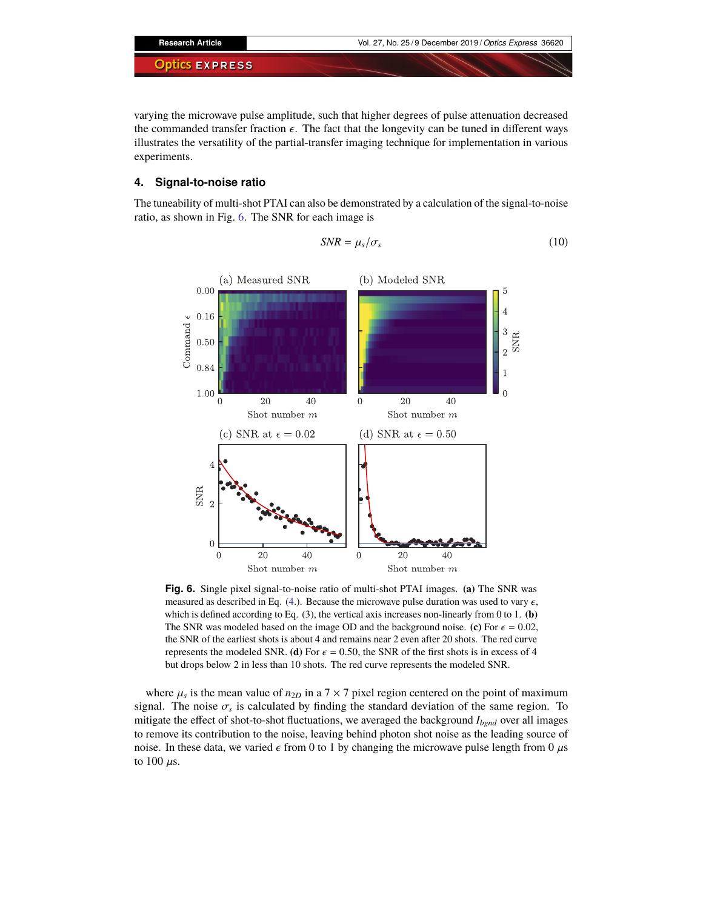varying the microwave pulse amplitude, such that higher degrees of pulse attenuation decreased the commanded transfer fraction  $\epsilon$ . The fact that the longevity can be tuned in different ways illustrates the versatility of the partial-transfer imaging technique for implementation in various experiments.

## <span id="page-9-0"></span>**4. Signal-to-noise ratio**

The tuneability of multi-shot PTAI can also be demonstrated by a calculation of the signal-to-noise ratio, as shown in Fig. [6.](#page-9-1) The SNR for each image is

$$
SNR = \mu_s/\sigma_s \tag{10}
$$



<span id="page-9-1"></span>**Fig. 6.** Single pixel signal-to-noise ratio of multi-shot PTAI images. **(a)** The SNR was measured as described in Eq. [\(4.](#page-9-0)). Because the microwave pulse duration was used to vary  $\epsilon$ , which is defined according to Eq. (3), the vertical axis increases non-linearly from 0 to 1. **(b)** The SNR was modeled based on the image OD and the background noise. **(c)** For  $\epsilon = 0.02$ , the SNR of the earliest shots is about 4 and remains near 2 even after 20 shots. The red curve represents the modeled SNR. **(d)** For  $\epsilon = 0.50$ , the SNR of the first shots is in excess of 4 but drops below 2 in less than 10 shots. The red curve represents the modeled SNR.

where  $\mu_s$  is the mean value of  $n_{2D}$  in a  $7 \times 7$  pixel region centered on the point of maximum<br>up The poise  $\sigma_s$  is calculated by finding the standard deviation of the same region. To signal. The noise  $\sigma_s$  is calculated by finding the standard deviation of the same region. To mitigate the effect of shot-to-shot fluctuations, we averaged the background  $I_s \rightarrow \text{over all images}$ mitigate the effect of shot-to-shot fluctuations, we averaged the background *Ibgnd* over all images to remove its contribution to the noise, leaving behind photon shot noise as the leading source of noise. In these data, we varied  $\epsilon$  from 0 to 1 by changing the microwave pulse length from 0  $\mu$ s to 100  $\mu$ s.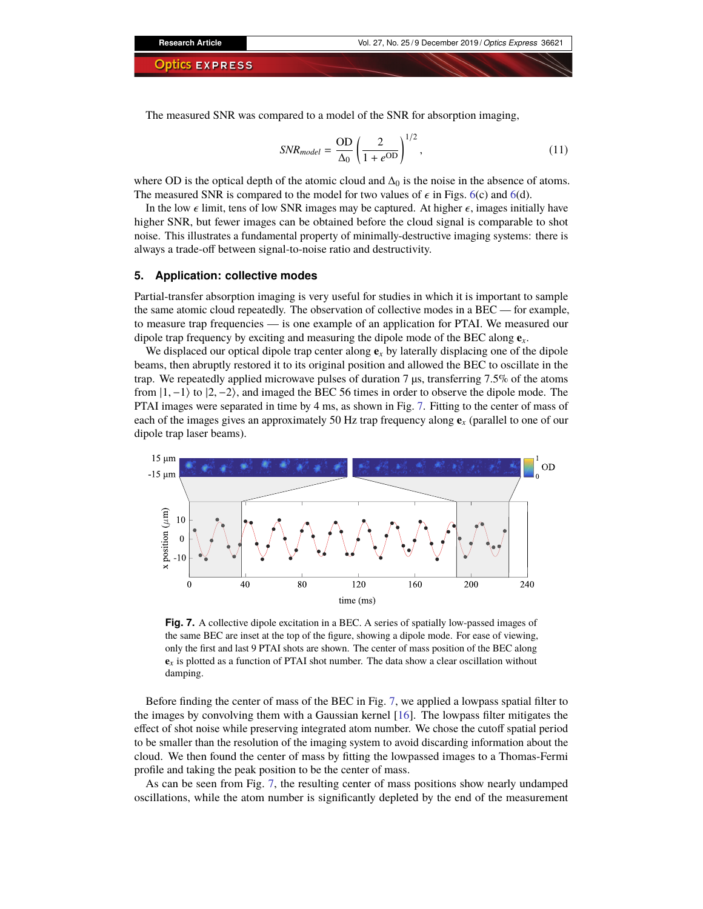The measured SNR was compared to a model of the SNR for absorption imaging,

$$
SNR_{model} = \frac{\text{OD}}{\Delta_0} \left( \frac{2}{1 + e^{\text{OD}}} \right)^{1/2},\tag{11}
$$

where OD is the optical depth of the atomic cloud and  $\Delta_0$  is the noise in the absence of atoms. The measured SNR is compared to the model for two values of  $\epsilon$  in Figs. [6\(](#page-9-1)c) and 6(d).

In the low  $\epsilon$  limit, tens of low SNR images may be captured. At higher  $\epsilon$ , images initially have higher SNR, but fewer images can be obtained before the cloud signal is comparable to shot noise. This illustrates a fundamental property of minimally-destructive imaging systems: there is always a trade-off between signal-to-noise ratio and destructivity.

#### <span id="page-10-0"></span>**5. Application: collective modes**

Partial-transfer absorption imaging is very useful for studies in which it is important to sample the same atomic cloud repeatedly. The observation of collective modes in a BEC — for example, to measure trap frequencies — is one example of an application for PTAI. We measured our dipole trap frequency by exciting and measuring the dipole mode of the BEC along  $\mathbf{e}_x$ .

We displaced our optical dipole trap center along  $e_x$  by laterally displacing one of the dipole beams, then abruptly restored it to its original position and allowed the BEC to oscillate in the trap. We repeatedly applied microwave pulses of duration 7 µs, transferring 7.5% of the atoms from  $|1, -1\rangle$  to  $|2, -2\rangle$ , and imaged the BEC 56 times in order to observe the dipole mode. The PTAI images were separated in time by 4 ms, as shown in Fig. [7.](#page-10-1) Fitting to the center of mass of each of the images gives an approximately 50 Hz trap frequency along  $\mathbf{e}_x$  (parallel to one of our dipole trap laser beams).



<span id="page-10-1"></span>**Fig. 7.** A collective dipole excitation in a BEC. A series of spatially low-passed images of the same BEC are inset at the top of the figure, showing a dipole mode. For ease of viewing, only the first and last 9 PTAI shots are shown. The center of mass position of the BEC along **e***x* is plotted as a function of PTAI shot number. The data show a clear oscillation without damping.

Before finding the center of mass of the BEC in Fig. [7,](#page-10-1) we applied a lowpass spatial filter to the images by convolving them with a Gaussian kernel [\[16\]](#page-13-5). The lowpass filter mitigates the effect of shot noise while preserving integrated atom number. We chose the cutoff spatial period to be smaller than the resolution of the imaging system to avoid discarding information about the cloud. We then found the center of mass by fitting the lowpassed images to a Thomas-Fermi profile and taking the peak position to be the center of mass.

As can be seen from Fig. [7,](#page-10-1) the resulting center of mass positions show nearly undamped oscillations, while the atom number is significantly depleted by the end of the measurement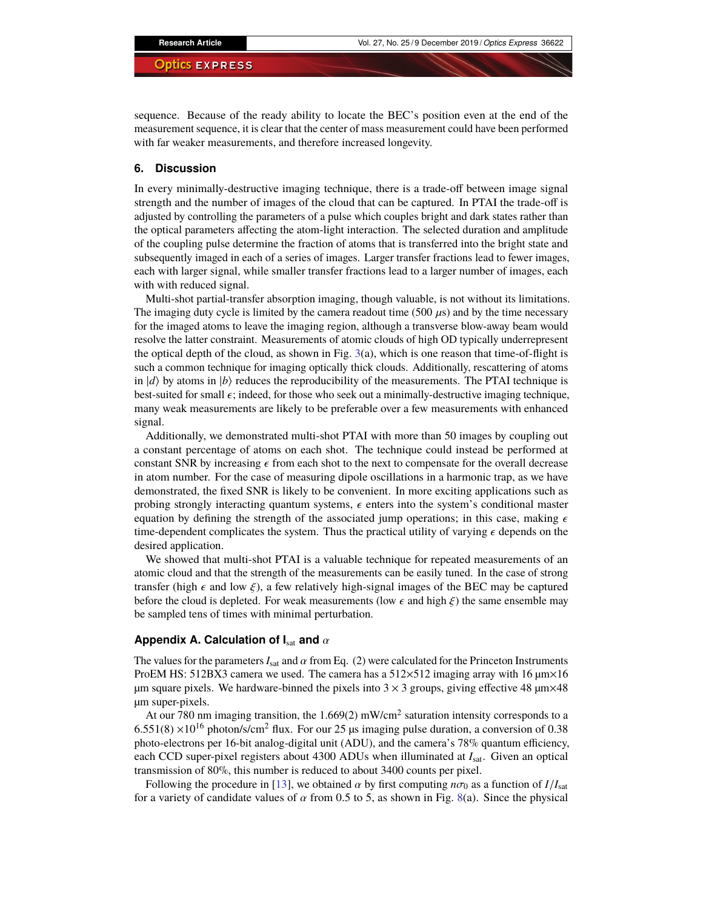sequence. Because of the ready ability to locate the BEC's position even at the end of the measurement sequence, it is clear that the center of mass measurement could have been performed with far weaker measurements, and therefore increased longevity.

#### **6. Discussion**

In every minimally-destructive imaging technique, there is a trade-off between image signal strength and the number of images of the cloud that can be captured. In PTAI the trade-off is adjusted by controlling the parameters of a pulse which couples bright and dark states rather than the optical parameters affecting the atom-light interaction. The selected duration and amplitude of the coupling pulse determine the fraction of atoms that is transferred into the bright state and subsequently imaged in each of a series of images. Larger transfer fractions lead to fewer images, each with larger signal, while smaller transfer fractions lead to a larger number of images, each with with reduced signal.

Multi-shot partial-transfer absorption imaging, though valuable, is not without its limitations. The imaging duty cycle is limited by the camera readout time (500  $\mu$ s) and by the time necessary for the imaged atoms to leave the imaging region, although a transverse blow-away beam would resolve the latter constraint. Measurements of atomic clouds of high OD typically underrepresent the optical depth of the cloud, as shown in Fig.  $3(a)$  $3(a)$ , which is one reason that time-of-flight is such a common technique for imaging optically thick clouds. Additionally, rescattering of atoms in  $|d\rangle$  by atoms in  $|b\rangle$  reduces the reproducibility of the measurements. The PTAI technique is best-suited for small  $\epsilon$ ; indeed, for those who seek out a minimally-destructive imaging technique, many weak measurements are likely to be preferable over a few measurements with enhanced signal.

Additionally, we demonstrated multi-shot PTAI with more than 50 images by coupling out a constant percentage of atoms on each shot. The technique could instead be performed at constant SNR by increasing  $\epsilon$  from each shot to the next to compensate for the overall decrease in atom number. For the case of measuring dipole oscillations in a harmonic trap, as we have demonstrated, the fixed SNR is likely to be convenient. In more exciting applications such as probing strongly interacting quantum systems,  $\epsilon$  enters into the system's conditional master equation by defining the strength of the associated jump operations; in this case, making  $\epsilon$ time-dependent complicates the system. Thus the practical utility of varying  $\epsilon$  depends on the desired application.

We showed that multi-shot PTAI is a valuable technique for repeated measurements of an atomic cloud and that the strength of the measurements can be easily tuned. In the case of strong transfer (high  $\epsilon$  and low  $\xi$ ), a few relatively high-signal images of the BEC may be captured before the cloud is depleted. For weak measurements (low  $\epsilon$  and high  $\xi$ ) the same ensemble may be sampled tens of times with minimal perturbation.

### **Appendix A. Calculation of I**sat **and** <sup>α</sup>

The values for the parameters  $I<sub>sat</sub>$  and  $\alpha$  from Eq. (2) were calculated for the Princeton Instruments ProEM HS: 512BX3 camera we used. The camera has a  $512\times512$  imaging array with 16  $\mu$ m $\times16$ µm square pixels. We hardware-binned the pixels into  $3 \times 3$  groups, giving effective 48  $\mu$ m $\times$ 48 µm super-pixels.

At our 780 nm imaging transition, the  $1.669(2)$  mW/cm<sup>2</sup> saturation intensity corresponds to a  $6.551(8) \times 10^{16}$  photon/s/cm<sup>2</sup> flux. For our 25 us imaging pulse duration, a conversion of 0.38 photo-electrons per 16-bit analog-digital unit (ADU), and the camera's 78% quantum efficiency, each CCD super-pixel registers about 4300 ADUs when illuminated at *I*sat. Given an optical transmission of 80%, this number is reduced to about 3400 counts per pixel.

Following the procedure in [\[13\]](#page-13-2), we obtained  $\alpha$  by first computing  $n\sigma_0$  as a function of  $I/I_{\text{sat}}$ for a variety of candidate values of  $\alpha$  from 0.5 to 5, as shown in Fig. [8\(](#page-12-10)a). Since the physical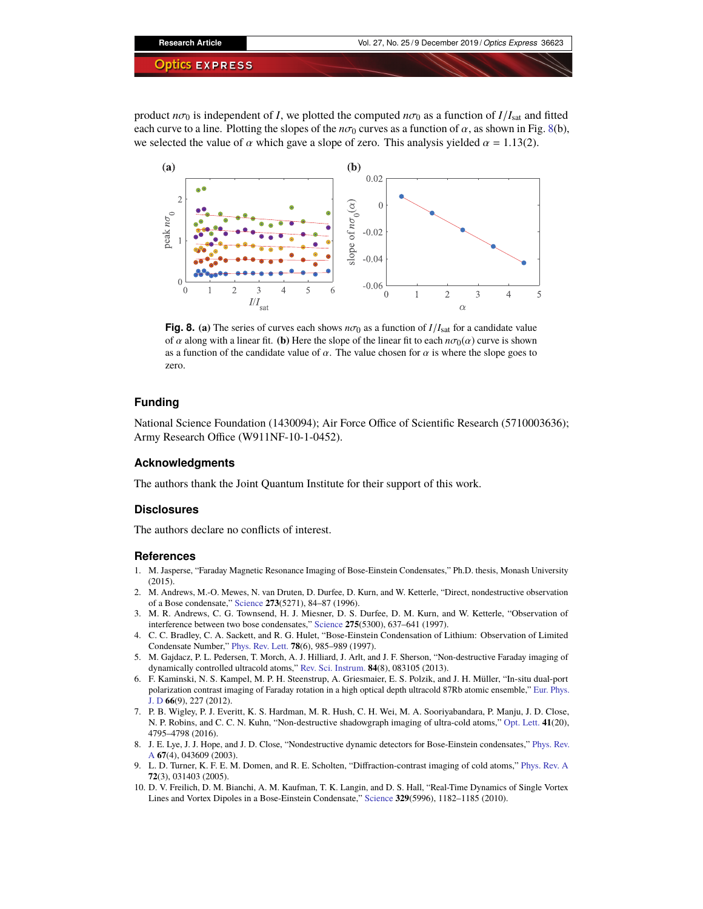

product  $n\sigma_0$  is independent of *I*, we plotted the computed  $n\sigma_0$  as a function of  $I/I_{sat}$  and fitted each curve to a line. Plotting the slopes of the  $n\sigma_0$  curves as a function of  $\alpha$ , as shown in Fig. [8\(](#page-12-10)b), we selected the value of  $\alpha$  which gave a slope of zero. This analysis yielded  $\alpha = 1.13(2)$ .



<span id="page-12-10"></span>**Fig. 8.** (a) The series of curves each shows  $n\sigma_0$  as a function of  $I/I_{\text{sat}}$  for a candidate value of  $\alpha$  along with a linear fit. **(b)** Here the slope of the linear fit to each  $n\sigma_0(\alpha)$  curve is shown as a function of the candidate value of  $\alpha$ . The value chosen for  $\alpha$  is where the slope goes to zero.

### **Funding**

National Science Foundation (1430094); Air Force Office of Scientific Research (5710003636); Army Research Office (W911NF-10-1-0452).

#### **Acknowledgments**

The authors thank the Joint Quantum Institute for their support of this work.

#### **Disclosures**

The authors declare no conflicts of interest.

#### **References**

- <span id="page-12-0"></span>1. M. Jasperse, "Faraday Magnetic Resonance Imaging of Bose-Einstein Condensates," Ph.D. thesis, Monash University  $(2015)$
- <span id="page-12-1"></span>2. M. Andrews, M.-O. Mewes, N. van Druten, D. Durfee, D. Kurn, and W. Ketterle, "Direct, nondestructive observation of a Bose condensate," [Science](https://doi.org/10.1126/science.273.5271.84) **273**(5271), 84–87 (1996).
- <span id="page-12-2"></span>3. M. R. Andrews, C. G. Townsend, H. J. Miesner, D. S. Durfee, D. M. Kurn, and W. Ketterle, "Observation of interference between two bose condensates," [Science](https://doi.org/10.1126/science.275.5300.637) **275**(5300), 637–641 (1997).
- <span id="page-12-3"></span>4. C. C. Bradley, C. A. Sackett, and R. G. Hulet, "Bose-Einstein Condensation of Lithium: Observation of Limited Condensate Number," [Phys. Rev. Lett.](https://doi.org/10.1103/PhysRevLett.78.985) **78**(6), 985–989 (1997).
- <span id="page-12-4"></span>5. M. Gajdacz, P. L. Pedersen, T. Morch, A. J. Hilliard, J. Arlt, and J. F. Sherson, "Non-destructive Faraday imaging of dynamically controlled ultracold atoms," [Rev. Sci. Instrum.](https://doi.org/10.1063/1.4818913) **84**(8), 083105 (2013).
- <span id="page-12-5"></span>6. F. Kaminski, N. S. Kampel, M. P. H. Steenstrup, A. Griesmaier, E. S. Polzik, and J. H. Müller, "In-situ dual-port polarization contrast imaging of Faraday rotation in a high optical depth ultracold 87Rb atomic ensemble," [Eur. Phys.](https://doi.org/10.1140/epjd/e2012-30038-0) [J. D](https://doi.org/10.1140/epjd/e2012-30038-0) **66**(9), 227 (2012).
- <span id="page-12-6"></span>7. P. B. Wigley, P. J. Everitt, K. S. Hardman, M. R. Hush, C. H. Wei, M. A. Sooriyabandara, P. Manju, J. D. Close, N. P. Robins, and C. C. N. Kuhn, "Non-destructive shadowgraph imaging of ultra-cold atoms," [Opt. Lett.](https://doi.org/10.1364/OL.41.004795) **41**(20), 4795–4798 (2016).
- <span id="page-12-7"></span>8. J. E. Lye, J. J. Hope, and J. D. Close, "Nondestructive dynamic detectors for Bose-Einstein condensates," [Phys. Rev.](https://doi.org/10.1103/PhysRevA.67.043609) [A](https://doi.org/10.1103/PhysRevA.67.043609) **67**(4), 043609 (2003).
- <span id="page-12-8"></span>9. L. D. Turner, K. F. E. M. Domen, and R. E. Scholten, "Diffraction-contrast imaging of cold atoms," [Phys. Rev. A](https://doi.org/10.1103/PhysRevA.72.031403) **72**(3), 031403 (2005).
- <span id="page-12-9"></span>10. D. V. Freilich, D. M. Bianchi, A. M. Kaufman, T. K. Langin, and D. S. Hall, "Real-Time Dynamics of Single Vortex Lines and Vortex Dipoles in a Bose-Einstein Condensate," [Science](https://doi.org/10.1126/science.1191224) **329**(5996), 1182–1185 (2010).